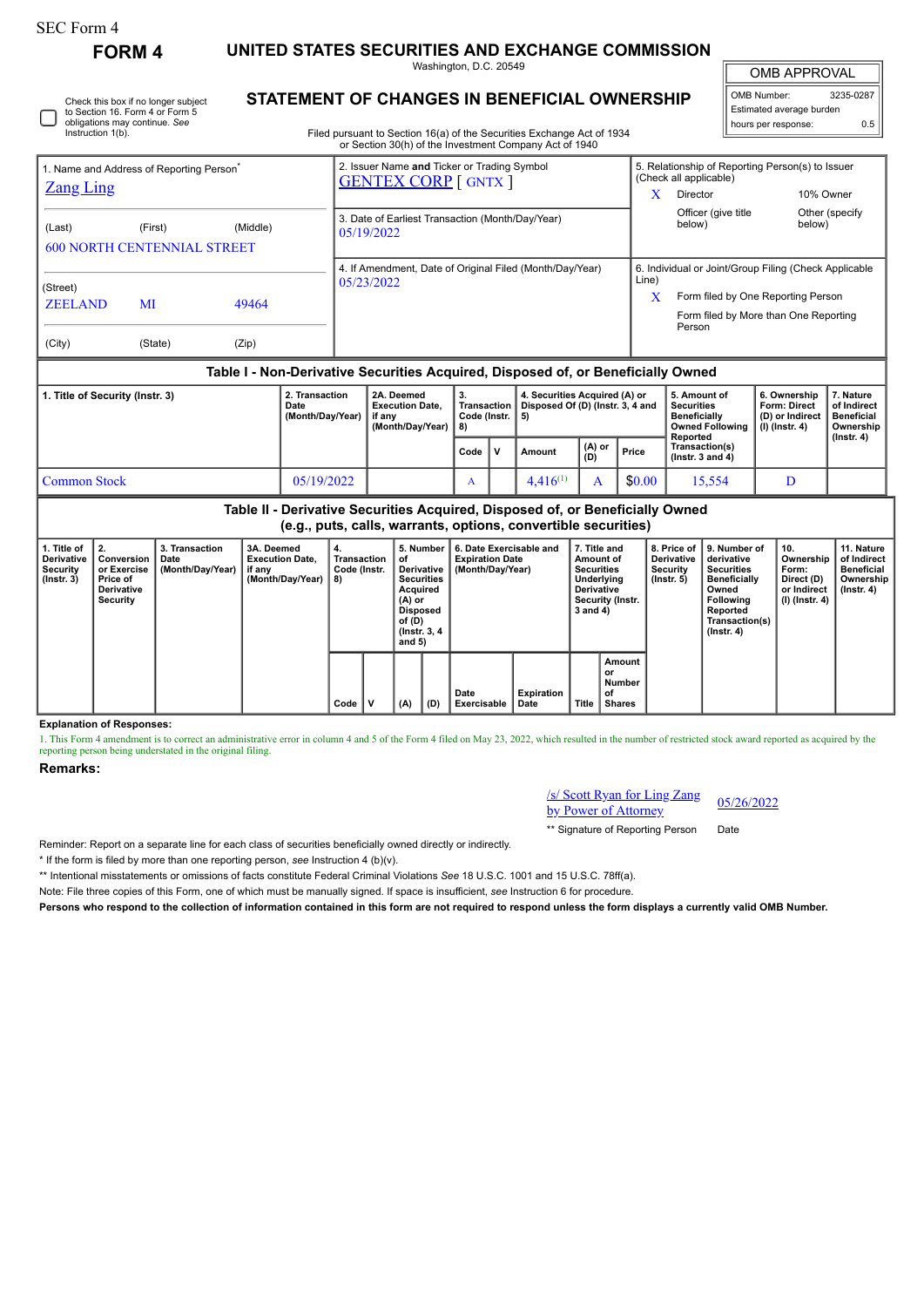Instruction 1(b).

Check this box if no longer subject to Section 16. Form 4 or Form 5 obligations may continue. *See*

**FORM 4 UNITED STATES SECURITIES AND EXCHANGE COMMISSION** Washington, D.C. 20549

OMB APPROVAL

 $\sqrt{ }$ 

| 3235-0287                |  |  |  |  |  |  |  |  |
|--------------------------|--|--|--|--|--|--|--|--|
| Estimated average burden |  |  |  |  |  |  |  |  |
| ሰ ፣                      |  |  |  |  |  |  |  |  |
|                          |  |  |  |  |  |  |  |  |

Filed pursuant to Section 16(a) of the Securities Exchange Act of 1934 or Section 30(h) of the Investment Company Act of 1940

**STATEMENT OF CHANGES IN BENEFICIAL OWNERSHIP**

| 1. Name and Address of Reporting Person <sup>®</sup>                             |         |          | 2. Issuer Name and Ticker or Trading Symbol<br><b>GENTEX CORP</b> [ GNTX ] |                                                                | 5. Relationship of Reporting Person(s) to Issuer<br>(Check all applicable)  |                          |  |  |  |  |
|----------------------------------------------------------------------------------|---------|----------|----------------------------------------------------------------------------|----------------------------------------------------------------|-----------------------------------------------------------------------------|--------------------------|--|--|--|--|
| <b>Zang Ling</b>                                                                 |         |          |                                                                            | X                                                              | Director                                                                    | 10% Owner                |  |  |  |  |
| (Last)<br><b>600 NORTH CENTENNIAL STREET</b>                                     | (First) | (Middle) | 3. Date of Earliest Transaction (Month/Day/Year)<br>05/19/2022             |                                                                | Officer (give title<br>below)                                               | Other (specify<br>below) |  |  |  |  |
|                                                                                  |         |          | 4. If Amendment, Date of Original Filed (Month/Day/Year)                   | 6. Individual or Joint/Group Filing (Check Applicable<br>Line) |                                                                             |                          |  |  |  |  |
| (Street)<br><b>ZEELAND</b>                                                       | MI      | 49464    | 05/23/2022                                                                 | X                                                              | Form filed by One Reporting Person<br>Form filed by More than One Reporting |                          |  |  |  |  |
| (City)                                                                           | (State) | (Zip)    |                                                                            |                                                                | Person                                                                      |                          |  |  |  |  |
| Table I - Non-Derivative Securities Acquired, Disposed of, or Beneficially Owned |         |          |                                                                            |                                                                |                                                                             |                          |  |  |  |  |

| 1. Title of Security (Instr. 3) | 2. Transaction<br>Date<br>∣ (Month/Dav/Year) │ | 2A. Deemed<br><b>Execution Date.</b><br>if anv<br>(Month/Dav/Year) | З.<br>Code (Instr.   5) |    | 4. Securities Acquired (A) or<br>Transaction   Disposed Of (D) (Instr. 3, 4 and |               |        | 5. Amount of<br><b>Securities</b><br><b>Beneficially</b><br>Owned Following   (I) (Instr. 4)<br>Reported | 6. Ownership<br><b>Form: Direct</b><br>(D) or Indirect | . Nature<br>of Indirect<br><b>Beneficial</b><br>Ownership<br>(Instr. 4) |
|---------------------------------|------------------------------------------------|--------------------------------------------------------------------|-------------------------|----|---------------------------------------------------------------------------------|---------------|--------|----------------------------------------------------------------------------------------------------------|--------------------------------------------------------|-------------------------------------------------------------------------|
|                                 |                                                |                                                                    | Code                    | ١v | Amount                                                                          | (A) or<br>(D) | Price  | Transaction(s)<br>( $lnstr.$ 3 and 4)                                                                    |                                                        |                                                                         |
| Common Stock                    | 05/19/2022                                     |                                                                    | $\Lambda$               |    | $4.416^{(1)}$                                                                   |               | \$0.00 | 15.554                                                                                                   |                                                        |                                                                         |

**Table II - Derivative Securities Acquired, Disposed of, or Beneficially Owned (e.g., puts, calls, warrants, options, convertible securities)**

| 1. Title of<br><b>Derivative</b><br>Security<br>$($ lnstr. 3 $)$ | $\mathbf{2}$<br>Conversion<br>or Exercise<br>Price of<br><b>Derivative</b><br>Security | 3. Transaction<br>Date<br>(Month/Day/Year) | 3A. Deemed<br><b>Execution Date.</b><br>if any<br>(Month/Day/Year) | 4.<br>Transaction<br>Code (Instr.<br>8) | οf  | 5. Number<br>6. Date Exercisable and<br><b>Expiration Date</b><br>Derivative<br>(Month/Day/Year)<br><b>Securities</b><br>Acquired<br>(A) or<br><b>Disposed</b><br>of (D)<br>(Instr. 3, 4)<br>and $5)$ |                     | 7. Title and<br>Amount of<br><b>Securities</b><br>Underlving<br>Derivative<br>Security (Instr.<br>3 and 4) |       |                                               | 8. Price of<br><b>Derivative</b><br>Security<br>$($ Instr. 5 $)$ | 9. Number of<br>derivative<br>Securities<br><b>Beneficially</b><br>Owned<br>Following<br>Reported<br>Transaction(s)<br>$($ Instr. 4 $)$ | 10.<br>Ownership<br>Form:<br>Direct (D)<br>or Indirect<br>$(l)$ (lnstr. 4) | 11. Nature<br>of Indirect<br><b>Beneficial</b><br>Ownership<br>(Instr. 4) |
|------------------------------------------------------------------|----------------------------------------------------------------------------------------|--------------------------------------------|--------------------------------------------------------------------|-----------------------------------------|-----|-------------------------------------------------------------------------------------------------------------------------------------------------------------------------------------------------------|---------------------|------------------------------------------------------------------------------------------------------------|-------|-----------------------------------------------|------------------------------------------------------------------|-----------------------------------------------------------------------------------------------------------------------------------------|----------------------------------------------------------------------------|---------------------------------------------------------------------------|
|                                                                  |                                                                                        |                                            |                                                                    | Code                                    | (A) | (D)                                                                                                                                                                                                   | Date<br>Exercisable | Expiration<br>Date                                                                                         | Title | Amount<br>or<br>Number<br>of<br><b>Shares</b> |                                                                  |                                                                                                                                         |                                                                            |                                                                           |

**Explanation of Responses:**

1. This Form 4 amendment is to correct an administrative error in column 4 and 5 of the Form 4 filed on May 23, 2022, which resulted in the number of restricted stock award reported as acquired by the reporting person being understated in the original filing.

## **Remarks:**

/s/ Scott Ryan for Ling Zang  $\frac{b}{2}$  by Power of Attorney 05/26/2022

\*\* Signature of Reporting Person Date

Reminder: Report on a separate line for each class of securities beneficially owned directly or indirectly.

\* If the form is filed by more than one reporting person, *see* Instruction 4 (b)(v).

\*\* Intentional misstatements or omissions of facts constitute Federal Criminal Violations *See* 18 U.S.C. 1001 and 15 U.S.C. 78ff(a).

Note: File three copies of this Form, one of which must be manually signed. If space is insufficient, *see* Instruction 6 for procedure.

**Persons who respond to the collection of information contained in this form are not required to respond unless the form displays a currently valid OMB Number.**